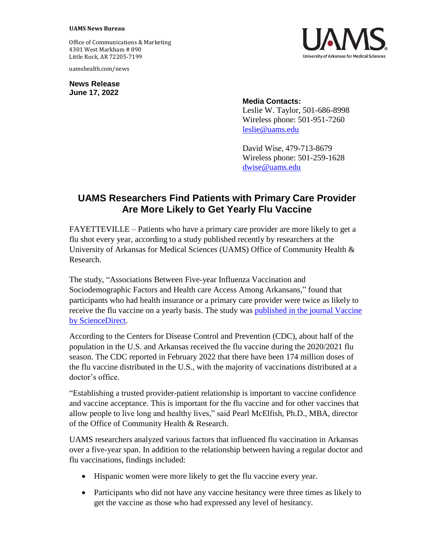## **UAMS News Bureau**

Office of Communications & Marketing 4301 West Markham # 890 Little Rock, AR 72205-7199

uamshealth.com/news

**News Release June 17, 2022**



## **Media Contacts:**

Leslie W. Taylor, 501-686-8998 Wireless phone: 501-951-7260 [leslie@uams.edu](mailto:leslie@uams.edu)

David Wise, 479-713-8679 Wireless phone: 501-259-1628 [dwise@uams.edu](mailto:dwise@uams.edu)

## **UAMS Researchers Find Patients with Primary Care Provider Are More Likely to Get Yearly Flu Vaccine**

FAYETTEVILLE – Patients who have a primary care provider are more likely to get a flu shot every year, according to a study published recently by researchers at the University of Arkansas for Medical Sciences (UAMS) Office of Community Health & Research.

The study, "Associations Between Five-year Influenza Vaccination and Sociodemographic Factors and Health care Access Among Arkansans," found that participants who had health insurance or a primary care provider were twice as likely to receive the flu vaccine on a yearly basis. The study was [published in the journal Vaccine](https://www.sciencedirect.com/science/article/pii/S0264410X22006156)  [by ScienceDirect.](https://www.sciencedirect.com/science/article/pii/S0264410X22006156)

According to the Centers for Disease Control and Prevention (CDC), about half of the population in the U.S. and Arkansas received the flu vaccine during the 2020/2021 flu season. The CDC reported in February 2022 that there have been 174 million doses of the flu vaccine distributed in the U.S., with the majority of vaccinations distributed at a doctor's office.

"Establishing a trusted provider-patient relationship is important to vaccine confidence and vaccine acceptance. This is important for the flu vaccine and for other vaccines that allow people to live long and healthy lives," said Pearl McElfish, Ph.D., MBA, director of the Office of Community Health & Research.

UAMS researchers analyzed various factors that influenced flu vaccination in Arkansas over a five-year span. In addition to the relationship between having a regular doctor and flu vaccinations, findings included:

- Hispanic women were more likely to get the flu vaccine every year.
- Participants who did not have any vaccine hesitancy were three times as likely to get the vaccine as those who had expressed any level of hesitancy.